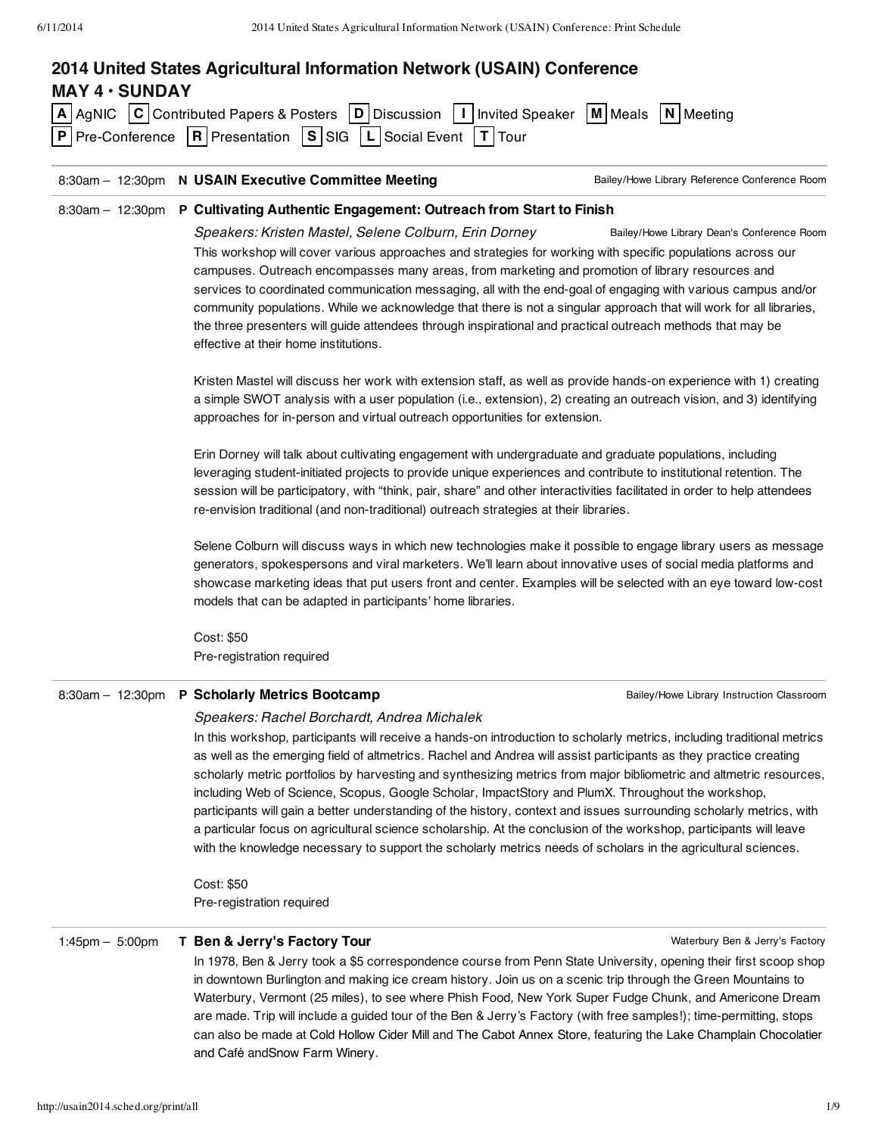|                       | 8:30am - 12:30pm N USAIN Executive Committee Meeting<br>8:30am - 12:30pm P Cultivating Authentic Engagement: Outreach from Start to Finish                                                                                                                                                                                                                                                                                                                                                                                                                                                                                                                                                                                                                                                                                                                                             | Bailey/Howe Library Reference Conference Room |  |
|-----------------------|----------------------------------------------------------------------------------------------------------------------------------------------------------------------------------------------------------------------------------------------------------------------------------------------------------------------------------------------------------------------------------------------------------------------------------------------------------------------------------------------------------------------------------------------------------------------------------------------------------------------------------------------------------------------------------------------------------------------------------------------------------------------------------------------------------------------------------------------------------------------------------------|-----------------------------------------------|--|
|                       |                                                                                                                                                                                                                                                                                                                                                                                                                                                                                                                                                                                                                                                                                                                                                                                                                                                                                        |                                               |  |
|                       |                                                                                                                                                                                                                                                                                                                                                                                                                                                                                                                                                                                                                                                                                                                                                                                                                                                                                        |                                               |  |
|                       | Speakers: Kristen Mastel, Selene Colburn, Erin Dorney<br>Bailey/Howe Library Dean's Conference Room<br>This workshop will cover various approaches and strategies for working with specific populations across our<br>campuses. Outreach encompasses many areas, from marketing and promotion of library resources and<br>services to coordinated communication messaging, all with the end-goal of engaging with various campus and/or<br>community populations. While we acknowledge that there is not a singular approach that will work for all libraries,<br>the three presenters will guide attendees through inspirational and practical outreach methods that may be<br>effective at their home institutions.                                                                                                                                                                  |                                               |  |
|                       | Kristen Mastel will discuss her work with extension staff, as well as provide hands-on experience with 1) creating<br>a simple SWOT analysis with a user population (i.e., extension), 2) creating an outreach vision, and 3) identifying<br>approaches for in-person and virtual outreach opportunities for extension.                                                                                                                                                                                                                                                                                                                                                                                                                                                                                                                                                                |                                               |  |
|                       | Erin Dorney will talk about cultivating engagement with undergraduate and graduate populations, including<br>leveraging student-initiated projects to provide unique experiences and contribute to institutional retention. The<br>session will be participatory, with "think, pair, share" and other interactivities facilitated in order to help attendees<br>re-envision traditional (and non-traditional) outreach strategies at their libraries.                                                                                                                                                                                                                                                                                                                                                                                                                                  |                                               |  |
|                       | Selene Colburn will discuss ways in which new technologies make it possible to engage library users as message<br>generators, spokespersons and viral marketers. We'll learn about innovative uses of social media platforms and<br>showcase marketing ideas that put users front and center. Examples will be selected with an eye toward low-cost<br>models that can be adapted in participants' home libraries.                                                                                                                                                                                                                                                                                                                                                                                                                                                                     |                                               |  |
|                       | Cost: \$50                                                                                                                                                                                                                                                                                                                                                                                                                                                                                                                                                                                                                                                                                                                                                                                                                                                                             |                                               |  |
|                       | Pre-registration required                                                                                                                                                                                                                                                                                                                                                                                                                                                                                                                                                                                                                                                                                                                                                                                                                                                              |                                               |  |
|                       | 8:30am - 12:30pm P Scholarly Metrics Bootcamp                                                                                                                                                                                                                                                                                                                                                                                                                                                                                                                                                                                                                                                                                                                                                                                                                                          | Bailey/Howe Library Instruction Classroom     |  |
|                       | Speakers: Rachel Borchardt, Andrea Michalek<br>In this workshop, participants will receive a hands-on introduction to scholarly metrics, including traditional metrics<br>as well as the emerging field of altmetrics. Rachel and Andrea will assist participants as they practice creating<br>scholarly metric portfolios by harvesting and synthesizing metrics from major bibliometric and altmetric resources,<br>including Web of Science, Scopus, Google Scholar, ImpactStory and PlumX. Throughout the workshop,<br>participants will gain a better understanding of the history, context and issues surrounding scholarly metrics, with<br>a particular focus on agricultural science scholarship. At the conclusion of the workshop, participants will leave<br>with the knowledge necessary to support the scholarly metrics needs of scholars in the agricultural sciences. |                                               |  |
|                       | Cost: \$50<br>Pre-registration required                                                                                                                                                                                                                                                                                                                                                                                                                                                                                                                                                                                                                                                                                                                                                                                                                                                |                                               |  |
| $1:45$ pm $- 5:00$ pm | T Ben & Jerry's Factory Tour                                                                                                                                                                                                                                                                                                                                                                                                                                                                                                                                                                                                                                                                                                                                                                                                                                                           | Waterbury Ben & Jerry's Factory               |  |

In 1978, Ben & Jerry took a \$5 correspondence course from Penn State University, opening their first scoop shop in downtown Burlington and making ice cream history. Join us on a scenic trip through the Green Mountains to Waterbury, Vermont (25 miles), to see where Phish Food, New York Super Fudge Chunk, and Americone Dream are made. Trip will include a guided tour of the Ben & Jerry's Factory (with free samples!); time-permitting, stops can also be made at Cold Hollow Cider Mill and The Cabot Annex Store, featuring the Lake Champlain Chocolatier and Café andSnow Farm Winery.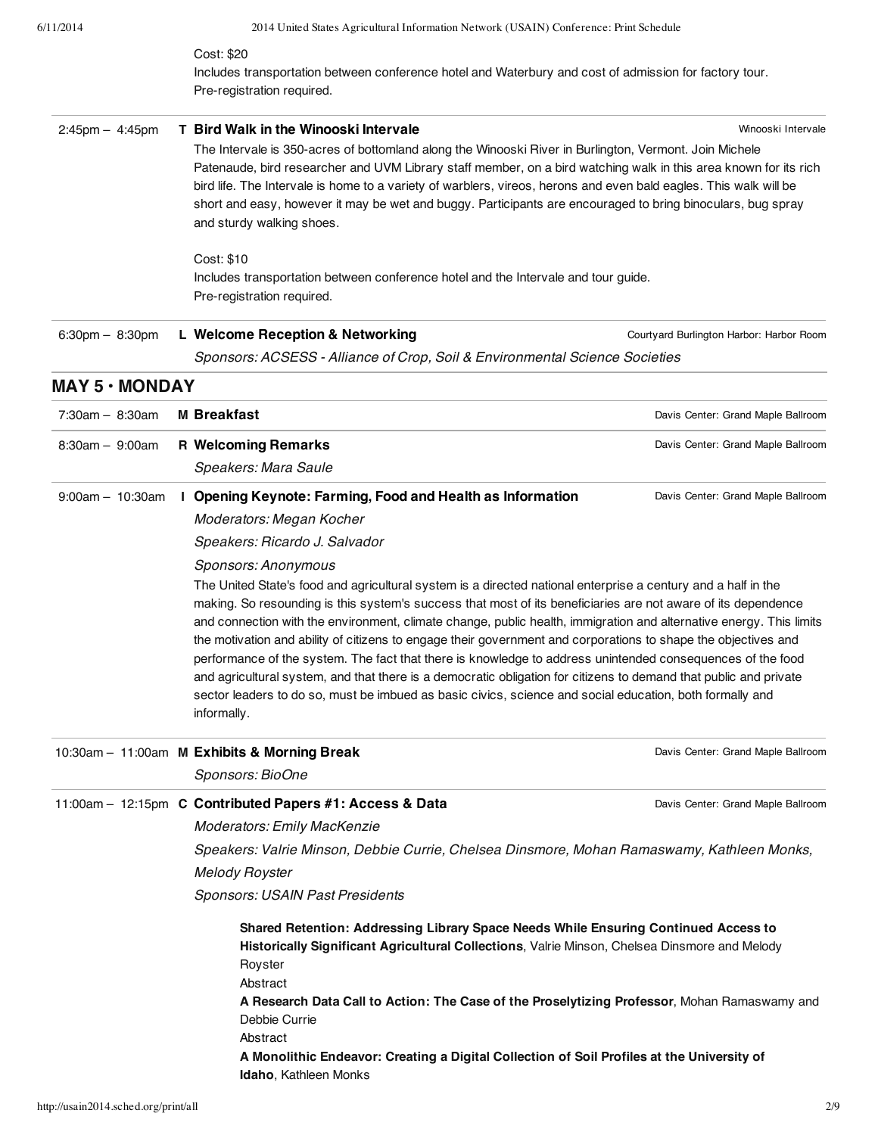| 6/11/2014                         |  | 2014 United States Agricultural Information Network (USAIN) Conference: Print Schedule                                                                                                                                                                                                                                                                                                                                                                                                                                                                                                                                                                                                                                                                                                                                                                       |                                          |  |
|-----------------------------------|--|--------------------------------------------------------------------------------------------------------------------------------------------------------------------------------------------------------------------------------------------------------------------------------------------------------------------------------------------------------------------------------------------------------------------------------------------------------------------------------------------------------------------------------------------------------------------------------------------------------------------------------------------------------------------------------------------------------------------------------------------------------------------------------------------------------------------------------------------------------------|------------------------------------------|--|
|                                   |  | Cost: \$20                                                                                                                                                                                                                                                                                                                                                                                                                                                                                                                                                                                                                                                                                                                                                                                                                                                   |                                          |  |
|                                   |  | Includes transportation between conference hotel and Waterbury and cost of admission for factory tour.<br>Pre-registration required.                                                                                                                                                                                                                                                                                                                                                                                                                                                                                                                                                                                                                                                                                                                         |                                          |  |
| $2:45$ pm $- 4:45$ pm             |  | T Bird Walk in the Winooski Intervale                                                                                                                                                                                                                                                                                                                                                                                                                                                                                                                                                                                                                                                                                                                                                                                                                        | Winooski Intervale                       |  |
|                                   |  | The Intervale is 350-acres of bottomland along the Winooski River in Burlington, Vermont. Join Michele<br>Patenaude, bird researcher and UVM Library staff member, on a bird watching walk in this area known for its rich<br>bird life. The Intervale is home to a variety of warblers, vireos, herons and even bald eagles. This walk will be<br>short and easy, however it may be wet and buggy. Participants are encouraged to bring binoculars, bug spray<br>and sturdy walking shoes.                                                                                                                                                                                                                                                                                                                                                                  |                                          |  |
|                                   |  | Cost: \$10                                                                                                                                                                                                                                                                                                                                                                                                                                                                                                                                                                                                                                                                                                                                                                                                                                                   |                                          |  |
|                                   |  | Includes transportation between conference hotel and the Intervale and tour guide.                                                                                                                                                                                                                                                                                                                                                                                                                                                                                                                                                                                                                                                                                                                                                                           |                                          |  |
|                                   |  | Pre-registration required.                                                                                                                                                                                                                                                                                                                                                                                                                                                                                                                                                                                                                                                                                                                                                                                                                                   |                                          |  |
| $6:30 \text{pm} - 8:30 \text{pm}$ |  | L Welcome Reception & Networking                                                                                                                                                                                                                                                                                                                                                                                                                                                                                                                                                                                                                                                                                                                                                                                                                             | Courtyard Burlington Harbor: Harbor Room |  |
|                                   |  | Sponsors: ACSESS - Alliance of Crop, Soil & Environmental Science Societies                                                                                                                                                                                                                                                                                                                                                                                                                                                                                                                                                                                                                                                                                                                                                                                  |                                          |  |
| <b>MAY 5 · MONDAY</b>             |  |                                                                                                                                                                                                                                                                                                                                                                                                                                                                                                                                                                                                                                                                                                                                                                                                                                                              |                                          |  |
| $7:30am - 8:30am$                 |  | <b>M</b> Breakfast                                                                                                                                                                                                                                                                                                                                                                                                                                                                                                                                                                                                                                                                                                                                                                                                                                           | Davis Center: Grand Maple Ballroom       |  |
| $8:30am - 9:00am$                 |  | <b>R Welcoming Remarks</b>                                                                                                                                                                                                                                                                                                                                                                                                                                                                                                                                                                                                                                                                                                                                                                                                                                   | Davis Center: Grand Maple Ballroom       |  |
|                                   |  | Speakers: Mara Saule                                                                                                                                                                                                                                                                                                                                                                                                                                                                                                                                                                                                                                                                                                                                                                                                                                         |                                          |  |
| $9:00am - 10:30am$                |  | I Opening Keynote: Farming, Food and Health as Information                                                                                                                                                                                                                                                                                                                                                                                                                                                                                                                                                                                                                                                                                                                                                                                                   | Davis Center: Grand Maple Ballroom       |  |
|                                   |  | Moderators: Megan Kocher                                                                                                                                                                                                                                                                                                                                                                                                                                                                                                                                                                                                                                                                                                                                                                                                                                     |                                          |  |
|                                   |  | Speakers: Ricardo J. Salvador                                                                                                                                                                                                                                                                                                                                                                                                                                                                                                                                                                                                                                                                                                                                                                                                                                |                                          |  |
|                                   |  | Sponsors: Anonymous<br>The United State's food and agricultural system is a directed national enterprise a century and a half in the<br>making. So resounding is this system's success that most of its beneficiaries are not aware of its dependence<br>and connection with the environment, climate change, public health, immigration and alternative energy. This limits<br>the motivation and ability of citizens to engage their government and corporations to shape the objectives and<br>performance of the system. The fact that there is knowledge to address unintended consequences of the food<br>and agricultural system, and that there is a democratic obligation for citizens to demand that public and private<br>sector leaders to do so, must be imbued as basic civics, science and social education, both formally and<br>informally. |                                          |  |
|                                   |  | 10:30am - 11:00am M Exhibits & Morning Break                                                                                                                                                                                                                                                                                                                                                                                                                                                                                                                                                                                                                                                                                                                                                                                                                 | Davis Center: Grand Maple Ballroom       |  |
|                                   |  | Sponsors: BioOne                                                                                                                                                                                                                                                                                                                                                                                                                                                                                                                                                                                                                                                                                                                                                                                                                                             |                                          |  |
|                                   |  | 11:00am - 12:15pm C Contributed Papers #1: Access & Data                                                                                                                                                                                                                                                                                                                                                                                                                                                                                                                                                                                                                                                                                                                                                                                                     | Davis Center: Grand Maple Ballroom       |  |
|                                   |  | Moderators: Emily MacKenzie                                                                                                                                                                                                                                                                                                                                                                                                                                                                                                                                                                                                                                                                                                                                                                                                                                  |                                          |  |
|                                   |  | Speakers: Valrie Minson, Debbie Currie, Chelsea Dinsmore, Mohan Ramaswamy, Kathleen Monks,                                                                                                                                                                                                                                                                                                                                                                                                                                                                                                                                                                                                                                                                                                                                                                   |                                          |  |
|                                   |  | <b>Melody Royster</b>                                                                                                                                                                                                                                                                                                                                                                                                                                                                                                                                                                                                                                                                                                                                                                                                                                        |                                          |  |
|                                   |  | Sponsors: USAIN Past Presidents                                                                                                                                                                                                                                                                                                                                                                                                                                                                                                                                                                                                                                                                                                                                                                                                                              |                                          |  |
|                                   |  | Shared Retention: Addressing Library Space Needs While Ensuring Continued Access to<br>Historically Significant Agricultural Collections, Valrie Minson, Chelsea Dinsmore and Melody<br>Royster<br>Abstract<br>A Research Data Call to Action: The Case of the Proselytizing Professor, Mohan Ramaswamy and                                                                                                                                                                                                                                                                                                                                                                                                                                                                                                                                                  |                                          |  |
|                                   |  | Debbie Currie<br>Abstract                                                                                                                                                                                                                                                                                                                                                                                                                                                                                                                                                                                                                                                                                                                                                                                                                                    |                                          |  |
|                                   |  | A Monolithic Endeavor: Creating a Digital Collection of Soil Profiles at the University of<br>Idaho, Kathleen Monks                                                                                                                                                                                                                                                                                                                                                                                                                                                                                                                                                                                                                                                                                                                                          |                                          |  |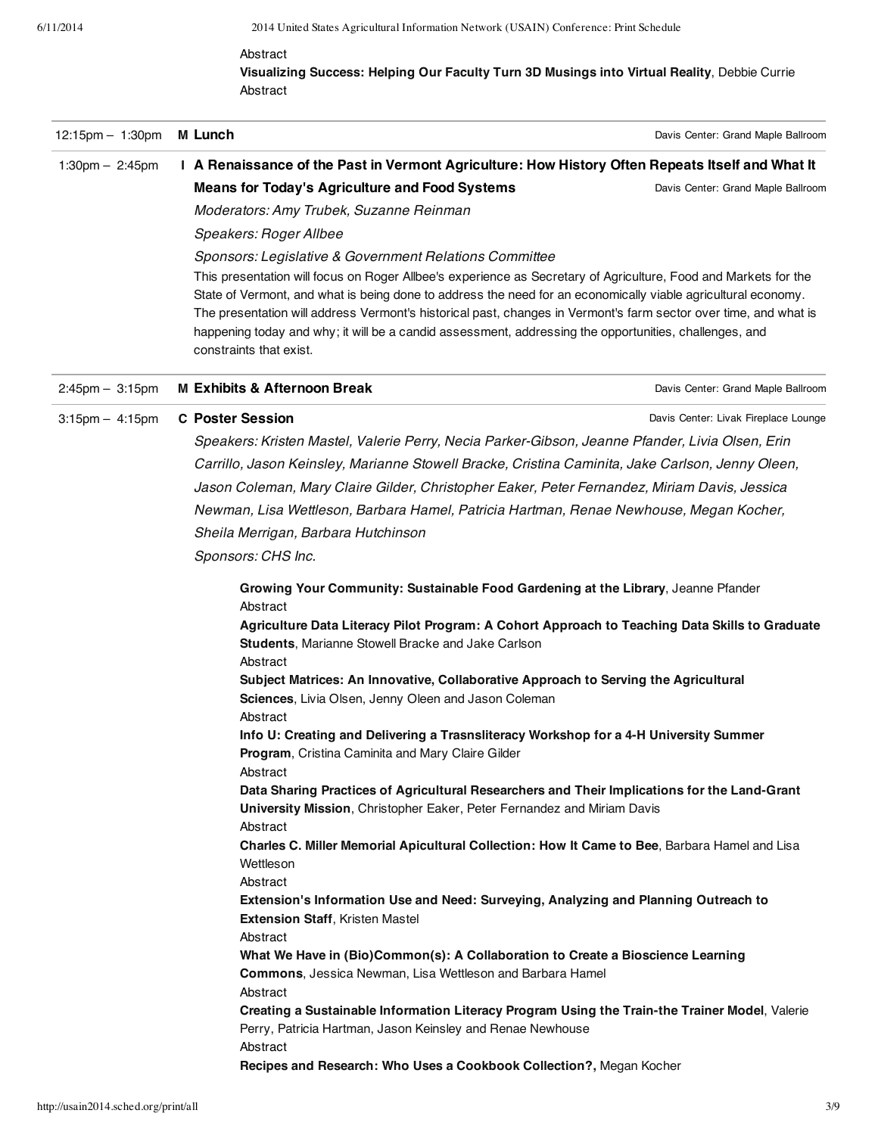### Abstract

**Visualizing Success: Helping Our Faculty Turn 3D Musings into Virtual Reality**, Debbie Currie Abstract

| 12:15pm - 1:30pm                  | M Lunch                                                                                                                                                                                                                                               | Davis Center: Grand Maple Ballroom   |
|-----------------------------------|-------------------------------------------------------------------------------------------------------------------------------------------------------------------------------------------------------------------------------------------------------|--------------------------------------|
| 1:30pm $-$ 2:45pm                 | I A Renaissance of the Past in Vermont Agriculture: How History Often Repeats Itself and What It                                                                                                                                                      |                                      |
|                                   | <b>Means for Today's Agriculture and Food Systems</b>                                                                                                                                                                                                 | Davis Center: Grand Maple Ballroom   |
|                                   | Moderators: Amy Trubek, Suzanne Reinman                                                                                                                                                                                                               |                                      |
|                                   | Speakers: Roger Allbee                                                                                                                                                                                                                                |                                      |
|                                   | Sponsors: Legislative & Government Relations Committee                                                                                                                                                                                                |                                      |
|                                   | This presentation will focus on Roger Allbee's experience as Secretary of Agriculture, Food and Markets for the                                                                                                                                       |                                      |
|                                   | State of Vermont, and what is being done to address the need for an economically viable agricultural economy.                                                                                                                                         |                                      |
|                                   | The presentation will address Vermont's historical past, changes in Vermont's farm sector over time, and what is<br>happening today and why; it will be a candid assessment, addressing the opportunities, challenges, and<br>constraints that exist. |                                      |
| $2:45 \text{pm} - 3:15 \text{pm}$ | <b>M Exhibits &amp; Afternoon Break</b>                                                                                                                                                                                                               | Davis Center: Grand Maple Ballroom   |
| $3:15 \text{pm} - 4:15 \text{pm}$ | <b>C</b> Poster Session                                                                                                                                                                                                                               | Davis Center: Livak Fireplace Lounge |
|                                   | Speakers: Kristen Mastel, Valerie Perry, Necia Parker-Gibson, Jeanne Pfander, Livia Olsen, Erin                                                                                                                                                       |                                      |
|                                   | Carrillo, Jason Keinsley, Marianne Stowell Bracke, Cristina Caminita, Jake Carlson, Jenny Oleen,                                                                                                                                                      |                                      |
|                                   | Jason Coleman, Mary Claire Gilder, Christopher Eaker, Peter Fernandez, Miriam Davis, Jessica                                                                                                                                                          |                                      |
|                                   | Newman, Lisa Wettleson, Barbara Hamel, Patricia Hartman, Renae Newhouse, Megan Kocher,                                                                                                                                                                |                                      |
|                                   | Sheila Merrigan, Barbara Hutchinson                                                                                                                                                                                                                   |                                      |
|                                   | Sponsors: CHS Inc.                                                                                                                                                                                                                                    |                                      |
|                                   | Growing Your Community: Sustainable Food Gardening at the Library, Jeanne Pfander                                                                                                                                                                     |                                      |
|                                   | Abstract                                                                                                                                                                                                                                              |                                      |
|                                   | Agriculture Data Literacy Pilot Program: A Cohort Approach to Teaching Data Skills to Graduate<br><b>Students, Marianne Stowell Bracke and Jake Carlson</b>                                                                                           |                                      |
|                                   | Abstract                                                                                                                                                                                                                                              |                                      |
|                                   | Subject Matrices: An Innovative, Collaborative Approach to Serving the Agricultural                                                                                                                                                                   |                                      |
|                                   | <b>Sciences, Livia Olsen, Jenny Oleen and Jason Coleman</b>                                                                                                                                                                                           |                                      |
|                                   | Abstract                                                                                                                                                                                                                                              |                                      |
|                                   | Info U: Creating and Delivering a Trasnsliteracy Workshop for a 4-H University Summer<br>Program, Cristina Caminita and Mary Claire Gilder                                                                                                            |                                      |
|                                   | Abstract<br>Data Sharing Practices of Agricultural Researchers and Their Implications for the Land-Grant                                                                                                                                              |                                      |
|                                   | University Mission, Christopher Eaker, Peter Fernandez and Miriam Davis<br>Abstract                                                                                                                                                                   |                                      |
|                                   | Charles C. Miller Memorial Apicultural Collection: How It Came to Bee, Barbara Hamel and Lisa                                                                                                                                                         |                                      |
|                                   | Wettleson                                                                                                                                                                                                                                             |                                      |
|                                   | Abstract                                                                                                                                                                                                                                              |                                      |
|                                   | Extension's Information Use and Need: Surveying, Analyzing and Planning Outreach to                                                                                                                                                                   |                                      |
|                                   | <b>Extension Staff, Kristen Mastel</b>                                                                                                                                                                                                                |                                      |
|                                   | Abstract<br>What We Have in (Bio)Common(s): A Collaboration to Create a Bioscience Learning                                                                                                                                                           |                                      |
|                                   | <b>Commons, Jessica Newman, Lisa Wettleson and Barbara Hamel</b>                                                                                                                                                                                      |                                      |
|                                   | Abstract                                                                                                                                                                                                                                              |                                      |
|                                   | Creating a Sustainable Information Literacy Program Using the Train-the Trainer Model, Valerie                                                                                                                                                        |                                      |
|                                   | Perry, Patricia Hartman, Jason Keinsley and Renae Newhouse                                                                                                                                                                                            |                                      |
|                                   | Abstract                                                                                                                                                                                                                                              |                                      |
|                                   | Recipes and Research: Who Uses a Cookbook Collection?, Megan Kocher                                                                                                                                                                                   |                                      |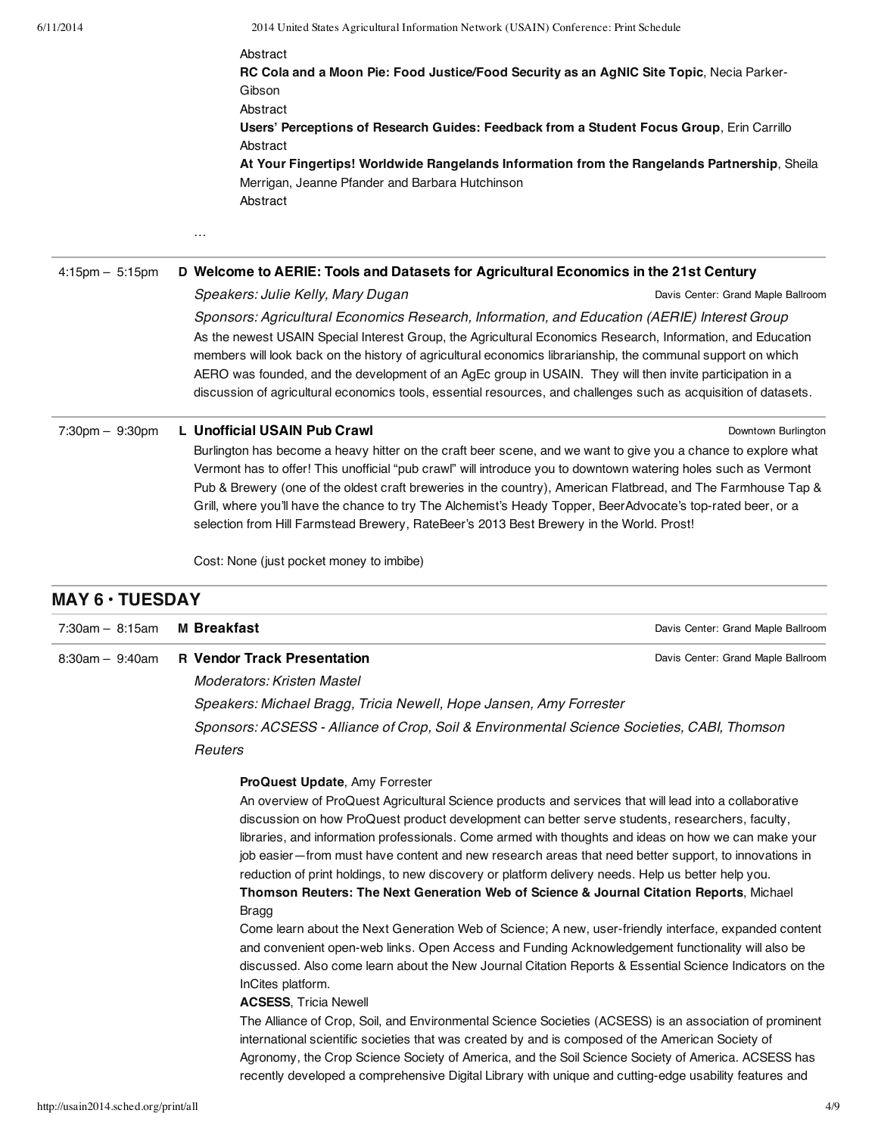Abstract

**RC Cola and a Moon Pie: Food Justice/Food Security as an AgNIC Site Topic**, Necia Parker-Gibson Abstract **Users' Perceptions of Research Guides: Feedback from a Student Focus Group**, Erin Carrillo Abstract **At Your Fingertips! Worldwide Rangelands Information from the Rangelands Partnership**, Sheila Merrigan, Jeanne Pfander and Barbara Hutchinson Abstract

#### 4:15pm – 5:15pm **D Welcome to AERIE: Tools and Datasets for Agricultural Economics in the 21st Century**

### Speakers: Julie Kelly, Mary Dugan

Davis Center: Grand Maple Ballroom

Downtown Burlington

Sponsors: Agricultural Economics Research, Information, and Education (AERIE) Interest Group As the newest USAIN Special Interest Group, the Agricultural Economics Research, Information, and Education members will look back on the history of agricultural economics librarianship, the communal support on which AERO was founded, and the development of an AgEc group in USAIN. They will then invite participation in a discussion of agricultural economics tools, essential resources, and challenges such as acquisition of datasets.

#### 7:30pm – 9:30pm **L Unofficial USAIN Pub Crawl**

…

Burlington has become a heavy hitter on the craft beer scene, and we want to give you a chance to explore what Vermont has to offer! This unofficial "pub crawl" will introduce you to downtown watering holes such as Vermont Pub & Brewery (one of the oldest craft breweries in the country), American Flatbread, and The Farmhouse Tap & Grill, where you'll have the chance to try The Alchemist's Heady Topper, BeerAdvocate's top-rated beer, or a selection from Hill Farmstead Brewery, RateBeer's 2013 Best Brewery in the World. Prost!

Cost: None (just pocket money to imbibe)

# **MAY 6 • TUESDAY**

| $7:30am - 8:15am$ | <b>M</b> Breakfast                                                                                                                                                                                                                                                                                                                                                                                                                                                                                                                                                                                                                                                                                                                                                                                                                                                                                                                                                                                                                                                                                                                                                                                                                                                                                                                                                                                                                                                                                    | Davis Center: Grand Maple Ballroom |
|-------------------|-------------------------------------------------------------------------------------------------------------------------------------------------------------------------------------------------------------------------------------------------------------------------------------------------------------------------------------------------------------------------------------------------------------------------------------------------------------------------------------------------------------------------------------------------------------------------------------------------------------------------------------------------------------------------------------------------------------------------------------------------------------------------------------------------------------------------------------------------------------------------------------------------------------------------------------------------------------------------------------------------------------------------------------------------------------------------------------------------------------------------------------------------------------------------------------------------------------------------------------------------------------------------------------------------------------------------------------------------------------------------------------------------------------------------------------------------------------------------------------------------------|------------------------------------|
| $8:30am - 9:40am$ | <b>R</b> Vendor Track Presentation                                                                                                                                                                                                                                                                                                                                                                                                                                                                                                                                                                                                                                                                                                                                                                                                                                                                                                                                                                                                                                                                                                                                                                                                                                                                                                                                                                                                                                                                    | Davis Center: Grand Maple Ballroom |
|                   | Moderators: Kristen Mastel                                                                                                                                                                                                                                                                                                                                                                                                                                                                                                                                                                                                                                                                                                                                                                                                                                                                                                                                                                                                                                                                                                                                                                                                                                                                                                                                                                                                                                                                            |                                    |
|                   | Speakers: Michael Bragg, Tricia Newell, Hope Jansen, Amy Forrester                                                                                                                                                                                                                                                                                                                                                                                                                                                                                                                                                                                                                                                                                                                                                                                                                                                                                                                                                                                                                                                                                                                                                                                                                                                                                                                                                                                                                                    |                                    |
|                   | Sponsors: ACSESS - Alliance of Crop, Soil & Environmental Science Societies, CABI, Thomson                                                                                                                                                                                                                                                                                                                                                                                                                                                                                                                                                                                                                                                                                                                                                                                                                                                                                                                                                                                                                                                                                                                                                                                                                                                                                                                                                                                                            |                                    |
|                   | Reuters                                                                                                                                                                                                                                                                                                                                                                                                                                                                                                                                                                                                                                                                                                                                                                                                                                                                                                                                                                                                                                                                                                                                                                                                                                                                                                                                                                                                                                                                                               |                                    |
|                   | <b>ProQuest Update, Amy Forrester</b><br>An overview of ProQuest Agricultural Science products and services that will lead into a collaborative<br>discussion on how ProQuest product development can better serve students, researchers, faculty,<br>libraries, and information professionals. Come armed with thoughts and ideas on how we can make your<br>job easier—from must have content and new research areas that need better support, to innovations in<br>reduction of print holdings, to new discovery or platform delivery needs. Help us better help you.<br><b>Thomson Reuters: The Next Generation Web of Science &amp; Journal Citation Reports, Michael</b><br>Bragg<br>Come learn about the Next Generation Web of Science; A new, user-friendly interface, expanded content<br>and convenient open-web links. Open Access and Funding Acknowledgement functionality will also be<br>discussed. Also come learn about the New Journal Citation Reports & Essential Science Indicators on the<br>InCites platform.<br><b>ACSESS, Tricia Newell</b><br>The Alliance of Crop, Soil, and Environmental Science Societies (ACSESS) is an association of prominent<br>international scientific societies that was created by and is composed of the American Society of<br>Agronomy, the Crop Science Society of America, and the Soil Science Society of America. ACSESS has<br>recently developed a comprehensive Digital Library with unique and cutting-edge usability features and |                                    |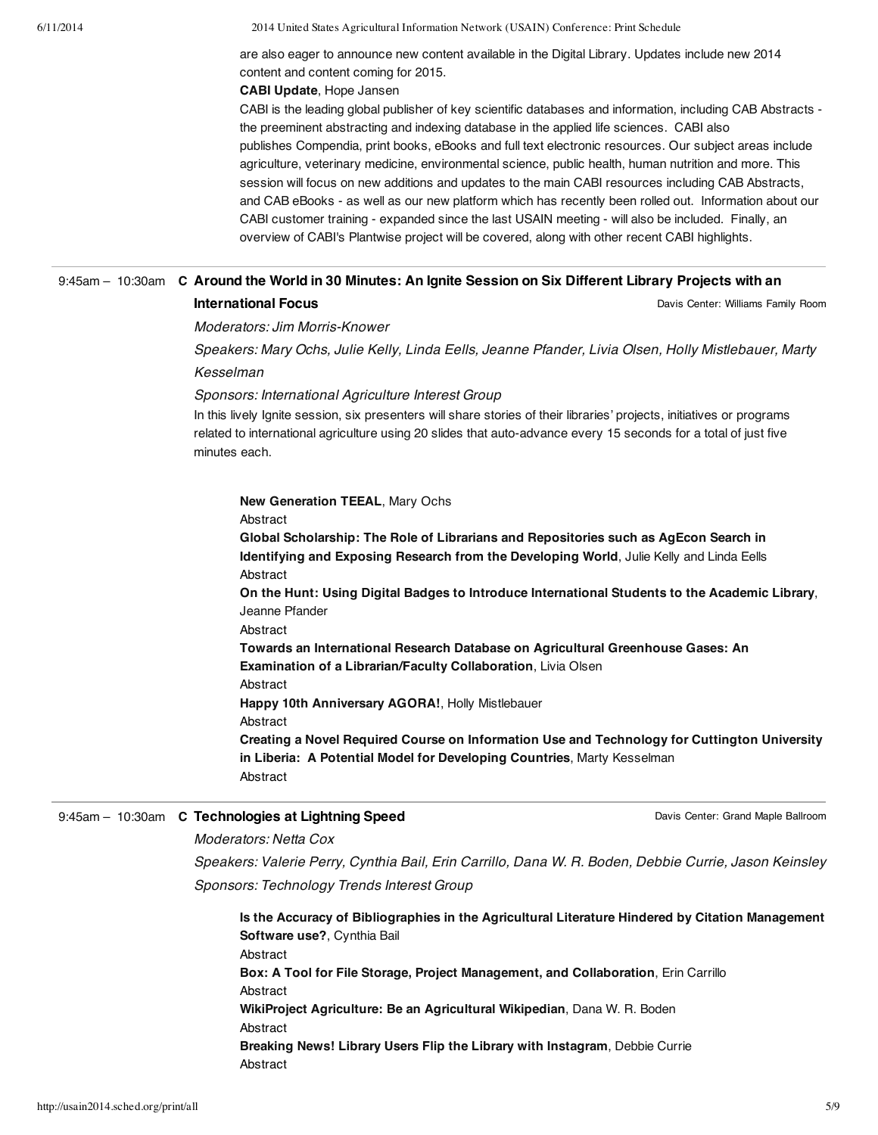6/11/2014 2014 United States Agricultural Information Network (USAIN) Conference: Print Schedule

are also eager to announce new content available in the Digital Library. Updates include new 2014 content and content coming for 2015.

#### **CABI Update**, Hope Jansen

CABI is the leading global publisher of key scientific databases and information, including CAB Abstracts the preeminent abstracting and indexing database in the applied life sciences. CABI also publishes Compendia, print books, eBooks and full text electronic resources. Our subject areas include agriculture, veterinary medicine, environmental science, public health, human nutrition and more. This session will focus on new additions and updates to the main CABI resources including CAB Abstracts, and CAB eBooks - as well as our new platform which has recently been rolled out. Information about our CABI customer training - expanded since the last USAIN meeting - will also be included. Finally, an overview of CABI's Plantwise project will be covered, along with other recent CABI highlights.

## 9:45am - 10:30am C Around the World in 30 Minutes: An Ignite Session on Six Different Library Projects with an **International Focus**

Davis Center: Williams Family Room

Moderators: Jim Morris-Knower

Speakers: Mary Ochs, Julie Kelly, Linda Eells, Jeanne Pfander, Livia Olsen, Holly Mistlebauer, Marty Kesselman

Sponsors: International Agriculture Interest Group

In this lively Ignite session, six presenters will share stories of their libraries' projects, initiatives or programs related to international agriculture using 20 slides that auto-advance every 15 seconds for a total of just five minutes each.

### **New Generation TEEAL**, Mary Ochs

Abstract

**Global Scholarship: The Role of Librarians and Repositories such as AgEcon Search in Identifying and Exposing Research from the Developing World**, Julie Kelly and Linda Eells Abstract

**On the Hunt: Using Digital Badges to Introduce International Students to the Academic Library**, Jeanne Pfander

Abstract

**Towards an International Research Database on Agricultural Greenhouse Gases: An Examination of a Librarian/Faculty Collaboration**, Livia Olsen

Abstract

**Happy 10th Anniversary AGORA!**, Holly Mistlebauer

Abstract

**Creating a Novel Required Course on Information Use and Technology for Cuttington University in Liberia: A Potential Model for Developing Countries**, Marty Kesselman Abstract

## 9:45am – 10:30am **C Technologies at Lightning Speed**

Davis Center: Grand Maple Ballroom

### Moderators: Netta Cox

Speakers: Valerie Perry, Cynthia Bail, Erin Carrillo, Dana W. R. Boden, Debbie Currie, Jason Keinsley Sponsors: Technology Trends Interest Group

**Is the Accuracy of Bibliographies in the Agricultural Literature Hindered by Citation Management Software use?**, Cynthia Bail Abstract **Box: A Tool for File Storage, Project Management, and Collaboration**, Erin Carrillo Abstract **WikiProject Agriculture: Be an Agricultural Wikipedian**, Dana W. R. Boden Abstract **Breaking News! Library Users Flip the Library with Instagram**, Debbie Currie Abstract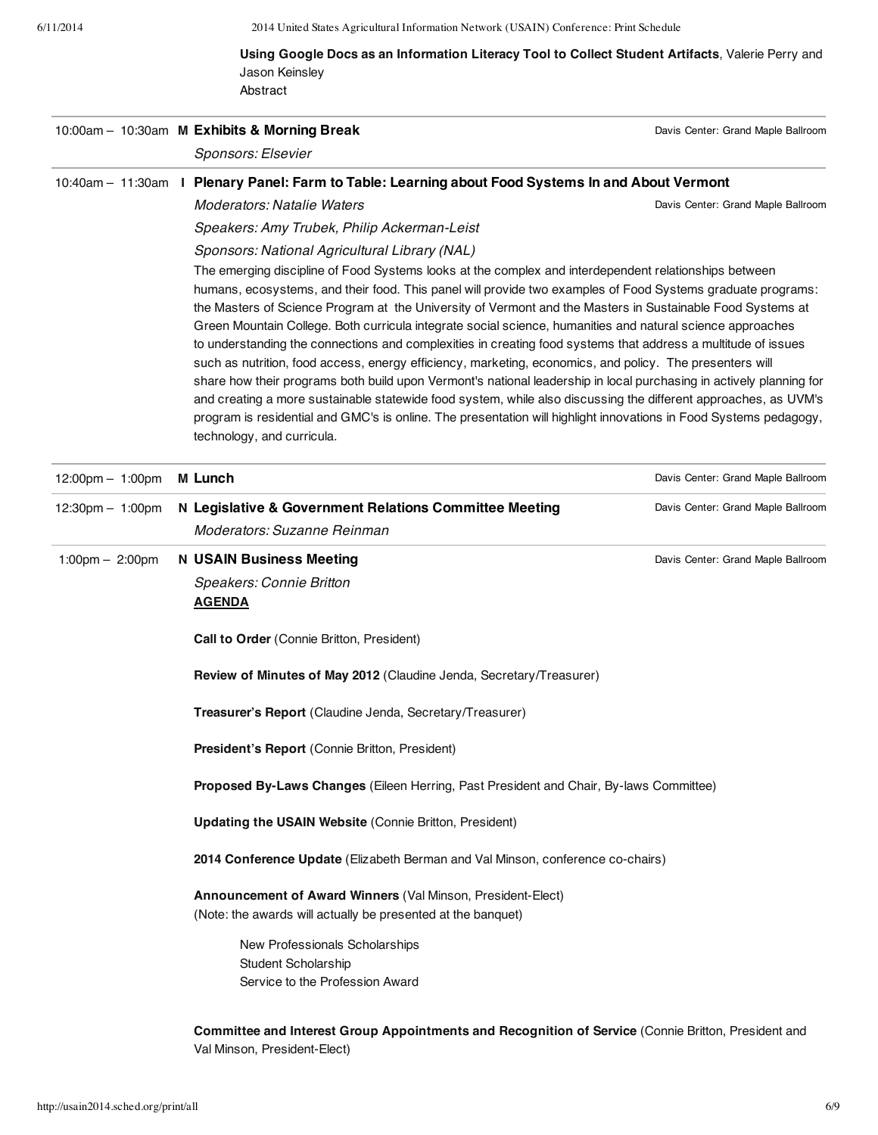# **Using Google Docs as an Information Literacy Tool to Collect Student Artifacts**, Valerie Perry and Jason Keinsley Abstract

|                                    |  | 10:00am - 10:30am M Exhibits & Morning Break<br>Sponsors: Elsevier                                                                                                                                                                                                                                                                                                                                                                                                                                                                                                                                                                                                                                                                                                                                                                                                                                                                                                                                                                                                         | Davis Center: Grand Maple Ballroom |
|------------------------------------|--|----------------------------------------------------------------------------------------------------------------------------------------------------------------------------------------------------------------------------------------------------------------------------------------------------------------------------------------------------------------------------------------------------------------------------------------------------------------------------------------------------------------------------------------------------------------------------------------------------------------------------------------------------------------------------------------------------------------------------------------------------------------------------------------------------------------------------------------------------------------------------------------------------------------------------------------------------------------------------------------------------------------------------------------------------------------------------|------------------------------------|
|                                    |  | 10:40am - 11:30am I Plenary Panel: Farm to Table: Learning about Food Systems In and About Vermont                                                                                                                                                                                                                                                                                                                                                                                                                                                                                                                                                                                                                                                                                                                                                                                                                                                                                                                                                                         |                                    |
|                                    |  | <b>Moderators: Natalie Waters</b><br>Speakers: Amy Trubek, Philip Ackerman-Leist<br>Sponsors: National Agricultural Library (NAL)                                                                                                                                                                                                                                                                                                                                                                                                                                                                                                                                                                                                                                                                                                                                                                                                                                                                                                                                          | Davis Center: Grand Maple Ballroom |
|                                    |  | The emerging discipline of Food Systems looks at the complex and interdependent relationships between<br>humans, ecosystems, and their food. This panel will provide two examples of Food Systems graduate programs:<br>the Masters of Science Program at the University of Vermont and the Masters in Sustainable Food Systems at<br>Green Mountain College. Both curricula integrate social science, humanities and natural science approaches<br>to understanding the connections and complexities in creating food systems that address a multitude of issues<br>such as nutrition, food access, energy efficiency, marketing, economics, and policy. The presenters will<br>share how their programs both build upon Vermont's national leadership in local purchasing in actively planning for<br>and creating a more sustainable statewide food system, while also discussing the different approaches, as UVM's<br>program is residential and GMC's is online. The presentation will highlight innovations in Food Systems pedagogy,<br>technology, and curricula. |                                    |
| $12:00 \text{pm} - 1:00 \text{pm}$ |  | M Lunch                                                                                                                                                                                                                                                                                                                                                                                                                                                                                                                                                                                                                                                                                                                                                                                                                                                                                                                                                                                                                                                                    | Davis Center: Grand Maple Ballroom |
| $12:30 \text{pm} - 1:00 \text{pm}$ |  | N Legislative & Government Relations Committee Meeting<br>Moderators: Suzanne Reinman                                                                                                                                                                                                                                                                                                                                                                                                                                                                                                                                                                                                                                                                                                                                                                                                                                                                                                                                                                                      | Davis Center: Grand Maple Ballroom |
| 1:00pm $-$ 2:00pm                  |  | <b>N USAIN Business Meeting</b>                                                                                                                                                                                                                                                                                                                                                                                                                                                                                                                                                                                                                                                                                                                                                                                                                                                                                                                                                                                                                                            | Davis Center: Grand Maple Ballroom |
|                                    |  | Speakers: Connie Britton<br><b>AGENDA</b>                                                                                                                                                                                                                                                                                                                                                                                                                                                                                                                                                                                                                                                                                                                                                                                                                                                                                                                                                                                                                                  |                                    |
|                                    |  | <b>Call to Order</b> (Connie Britton, President)                                                                                                                                                                                                                                                                                                                                                                                                                                                                                                                                                                                                                                                                                                                                                                                                                                                                                                                                                                                                                           |                                    |
|                                    |  | Review of Minutes of May 2012 (Claudine Jenda, Secretary/Treasurer)                                                                                                                                                                                                                                                                                                                                                                                                                                                                                                                                                                                                                                                                                                                                                                                                                                                                                                                                                                                                        |                                    |
|                                    |  | Treasurer's Report (Claudine Jenda, Secretary/Treasurer)                                                                                                                                                                                                                                                                                                                                                                                                                                                                                                                                                                                                                                                                                                                                                                                                                                                                                                                                                                                                                   |                                    |
|                                    |  | President's Report (Connie Britton, President)                                                                                                                                                                                                                                                                                                                                                                                                                                                                                                                                                                                                                                                                                                                                                                                                                                                                                                                                                                                                                             |                                    |
|                                    |  | Proposed By-Laws Changes (Eileen Herring, Past President and Chair, By-laws Committee)                                                                                                                                                                                                                                                                                                                                                                                                                                                                                                                                                                                                                                                                                                                                                                                                                                                                                                                                                                                     |                                    |
|                                    |  | <b>Updating the USAIN Website (Connie Britton, President)</b>                                                                                                                                                                                                                                                                                                                                                                                                                                                                                                                                                                                                                                                                                                                                                                                                                                                                                                                                                                                                              |                                    |
|                                    |  | 2014 Conference Update (Elizabeth Berman and Val Minson, conference co-chairs)                                                                                                                                                                                                                                                                                                                                                                                                                                                                                                                                                                                                                                                                                                                                                                                                                                                                                                                                                                                             |                                    |
|                                    |  | Announcement of Award Winners (Val Minson, President-Elect)<br>(Note: the awards will actually be presented at the banquet)                                                                                                                                                                                                                                                                                                                                                                                                                                                                                                                                                                                                                                                                                                                                                                                                                                                                                                                                                |                                    |
|                                    |  | New Professionals Scholarships                                                                                                                                                                                                                                                                                                                                                                                                                                                                                                                                                                                                                                                                                                                                                                                                                                                                                                                                                                                                                                             |                                    |
|                                    |  | Student Scholarship<br>Service to the Profession Award                                                                                                                                                                                                                                                                                                                                                                                                                                                                                                                                                                                                                                                                                                                                                                                                                                                                                                                                                                                                                     |                                    |
|                                    |  | Committee and Interest Group Appointments and Recognition of Service (Connie Britton, President and                                                                                                                                                                                                                                                                                                                                                                                                                                                                                                                                                                                                                                                                                                                                                                                                                                                                                                                                                                        |                                    |

Val Minson, President-Elect)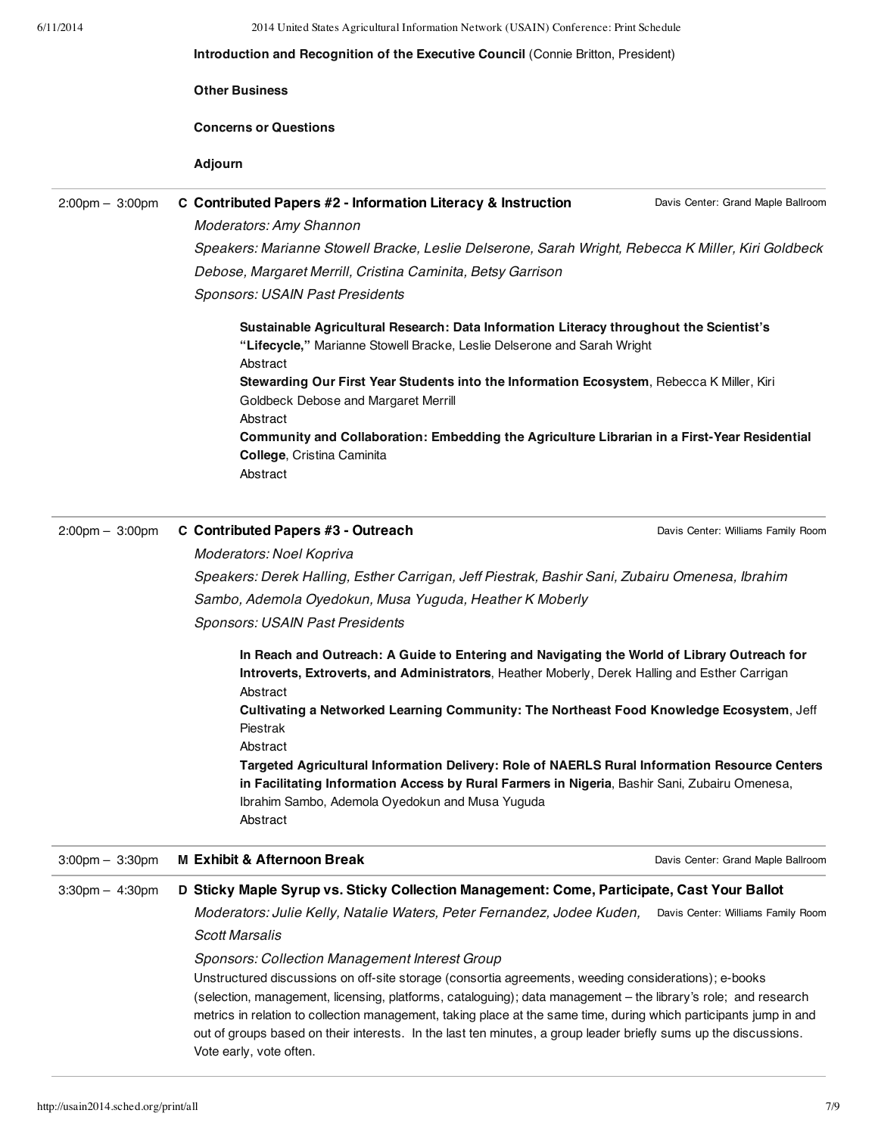|                                   | 2014 United States Agricultural Information Network (USAIN) Conference: Print Schedule<br>Introduction and Recognition of the Executive Council (Connie Britton, President)                                                                                   |                                    |  |  |  |
|-----------------------------------|---------------------------------------------------------------------------------------------------------------------------------------------------------------------------------------------------------------------------------------------------------------|------------------------------------|--|--|--|
|                                   |                                                                                                                                                                                                                                                               |                                    |  |  |  |
|                                   | <b>Other Business</b>                                                                                                                                                                                                                                         |                                    |  |  |  |
|                                   | <b>Concerns or Questions</b>                                                                                                                                                                                                                                  |                                    |  |  |  |
|                                   | <b>Adjourn</b>                                                                                                                                                                                                                                                |                                    |  |  |  |
| $2:00 \text{pm} - 3:00 \text{pm}$ | C Contributed Papers #2 - Information Literacy & Instruction                                                                                                                                                                                                  | Davis Center: Grand Maple Ballroom |  |  |  |
|                                   | <b>Moderators: Amy Shannon</b>                                                                                                                                                                                                                                |                                    |  |  |  |
|                                   | Speakers: Marianne Stowell Bracke, Leslie Delserone, Sarah Wright, Rebecca K Miller, Kiri Goldbeck                                                                                                                                                            |                                    |  |  |  |
|                                   | Debose, Margaret Merrill, Cristina Caminita, Betsy Garrison                                                                                                                                                                                                   |                                    |  |  |  |
|                                   | Sponsors: USAIN Past Presidents                                                                                                                                                                                                                               |                                    |  |  |  |
|                                   | Sustainable Agricultural Research: Data Information Literacy throughout the Scientist's<br>"Lifecycle," Marianne Stowell Bracke, Leslie Delserone and Sarah Wright<br>Abstract                                                                                |                                    |  |  |  |
|                                   | Stewarding Our First Year Students into the Information Ecosystem, Rebecca K Miller, Kiri<br>Goldbeck Debose and Margaret Merrill                                                                                                                             |                                    |  |  |  |
|                                   | Abstract<br>Community and Collaboration: Embedding the Agriculture Librarian in a First-Year Residential<br>College, Cristina Caminita<br>Abstract                                                                                                            |                                    |  |  |  |
| $2:00 \text{pm} - 3:00 \text{pm}$ | C Contributed Papers #3 - Outreach                                                                                                                                                                                                                            | Davis Center: Williams Family Room |  |  |  |
|                                   | Moderators: Noel Kopriva                                                                                                                                                                                                                                      |                                    |  |  |  |
|                                   | Speakers: Derek Halling, Esther Carrigan, Jeff Piestrak, Bashir Sani, Zubairu Omenesa, Ibrahim                                                                                                                                                                |                                    |  |  |  |
|                                   | Sambo, Ademola Oyedokun, Musa Yuguda, Heather K Moberly                                                                                                                                                                                                       |                                    |  |  |  |
|                                   | <b>Sponsors: USAIN Past Presidents</b>                                                                                                                                                                                                                        |                                    |  |  |  |
|                                   | In Reach and Outreach: A Guide to Entering and Navigating the World of Library Outreach for<br>Introverts, Extroverts, and Administrators, Heather Moberly, Derek Halling and Esther Carrigan<br>Abstract                                                     |                                    |  |  |  |
|                                   | Cultivating a Networked Learning Community: The Northeast Food Knowledge Ecosystem, Jeff<br>Piestrak<br>Abstract                                                                                                                                              |                                    |  |  |  |
|                                   | Targeted Agricultural Information Delivery: Role of NAERLS Rural Information Resource Centers<br>in Facilitating Information Access by Rural Farmers in Nigeria, Bashir Sani, Zubairu Omenesa,<br>Ibrahim Sambo, Ademola Oyedokun and Musa Yuguda<br>Abstract |                                    |  |  |  |
|                                   |                                                                                                                                                                                                                                                               |                                    |  |  |  |
| $3:00 \text{pm} - 3:30 \text{pm}$ | <b>M Exhibit &amp; Afternoon Break</b>                                                                                                                                                                                                                        | Davis Center: Grand Maple Ballroom |  |  |  |
| $3:30$ pm $-4:30$ pm              | D Sticky Maple Syrup vs. Sticky Collection Management: Come, Participate, Cast Your Ballot                                                                                                                                                                    |                                    |  |  |  |
|                                   | Moderators: Julie Kelly, Natalie Waters, Peter Fernandez, Jodee Kuden,                                                                                                                                                                                        | Davis Center: Williams Family Room |  |  |  |
|                                   | <b>Scott Marsalis</b>                                                                                                                                                                                                                                         |                                    |  |  |  |
|                                   | <b>Sponsors: Collection Management Interest Group</b>                                                                                                                                                                                                         |                                    |  |  |  |
|                                   | Unstructured discussions on off-site storage (consortia agreements, weeding considerations); e-books<br>(selection, management, licensing, platforms, cataloguing); data management - the library's role; and research                                        |                                    |  |  |  |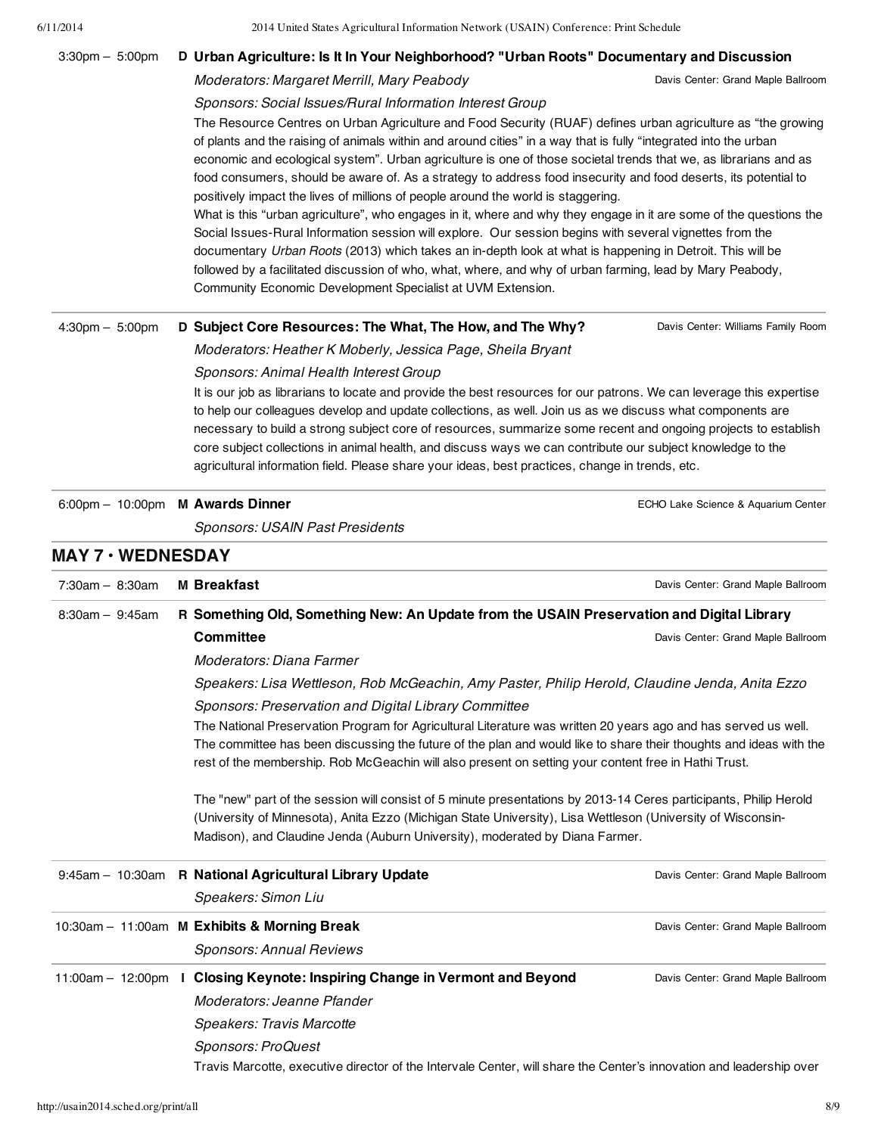# 6/11/2014 2014 United States Agricultural Information Network (USAIN) Conference: Print Schedule Davis Center: Grand Maple Ballroom Davis Center: Williams Family Room ECHO Lake Science & Aquarium Center **MAY 7 • WEDNESDAY** Davis Center: Grand Maple Ballroom Davis Center: Grand Maple Ballroom 3:30pm – 5:00pm **D Urban Agriculture: Is It In Your Neighborhood? "Urban Roots" Documentary and Discussion** Moderators: Margaret Merrill, Mary Peabody Sponsors: Social Issues/Rural Information Interest Group The Resource Centres on Urban Agriculture and Food Security (RUAF) defines urban agriculture as "the growing of plants and the raising of animals within and around cities" in a way that is fully "integrated into the urban economic and ecological system". Urban agriculture is one of those societal trends that we, as librarians and as food consumers, should be aware of. As a strategy to address food insecurity and food deserts, its potential to positively impact the lives of millions of people around the world is staggering. What is this "urban agriculture", who engages in it, where and why they engage in it are some of the questions the Social Issues-Rural Information session will explore. Our session begins with several vignettes from the documentary Urban Roots (2013) which takes an in-depth look at what is happening in Detroit. This will be followed by a facilitated discussion of who, what, where, and why of urban farming, lead by Mary Peabody, Community Economic Development Specialist at UVM Extension. 4:30pm – 5:00pm **D Subject Core Resources: The What, The How, and The Why?** Moderators: Heather K Moberly, Jessica Page, Sheila Bryant Sponsors: Animal Health Interest Group It is our job as librarians to locate and provide the best resources for our patrons. We can leverage this expertise to help our colleagues develop and update collections, as well. Join us as we discuss what components are necessary to build a strong subject core of resources, summarize some recent and ongoing projects to establish core subject collections in animal health, and discuss ways we can contribute our subject knowledge to the agricultural information field. Please share your ideas, best practices, change in trends, etc. 6:00pm – 10:00pm **M Awards Dinner** Sponsors: USAIN Past Presidents 7:30am – 8:30am **M Breakfast** 8:30am – 9:45am **R Something Old, Something New: An Update from the USAIN Preservation and Digital Library Committee** Moderators: Diana Farmer Speakers: Lisa Wettleson, Rob McGeachin, Amy Paster, Philip Herold, Claudine Jenda, Anita Ezzo Sponsors: Preservation and Digital Library Committee The National Preservation Program for Agricultural Literature was written 20 years ago and has served us well. The committee has been discussing the future of the plan and would like to share their thoughts and ideas with the rest of the membership. Rob McGeachin will also present on setting your content free in Hathi Trust.

The "new" part of the session will consist of 5 minute presentations by 2013-14 Ceres participants, Philip Herold (University of Minnesota), Anita Ezzo (Michigan State University), Lisa Wettleson (University of Wisconsin-Madison), and Claudine Jenda (Auburn University), moderated by Diana Farmer.

|                                  | 9:45am - 10:30am R National Agricultural Library Update                                                             | Davis Center: Grand Maple Ballroom |
|----------------------------------|---------------------------------------------------------------------------------------------------------------------|------------------------------------|
|                                  | Speakers: Simon Liu                                                                                                 |                                    |
|                                  | 10:30am - 11:00am M Exhibits & Morning Break                                                                        | Davis Center: Grand Maple Ballroom |
|                                  | <b>Sponsors: Annual Reviews</b>                                                                                     |                                    |
| 11:00am - 12:00pm $\blacksquare$ | Closing Keynote: Inspiring Change in Vermont and Beyond                                                             | Davis Center: Grand Maple Ballroom |
|                                  | Moderators: Jeanne Pfander                                                                                          |                                    |
|                                  | Speakers: Travis Marcotte                                                                                           |                                    |
|                                  | Sponsors: ProQuest                                                                                                  |                                    |
|                                  | Travis Marcotte, executive director of the Intervale Center, will share the Center's innovation and leadership over |                                    |